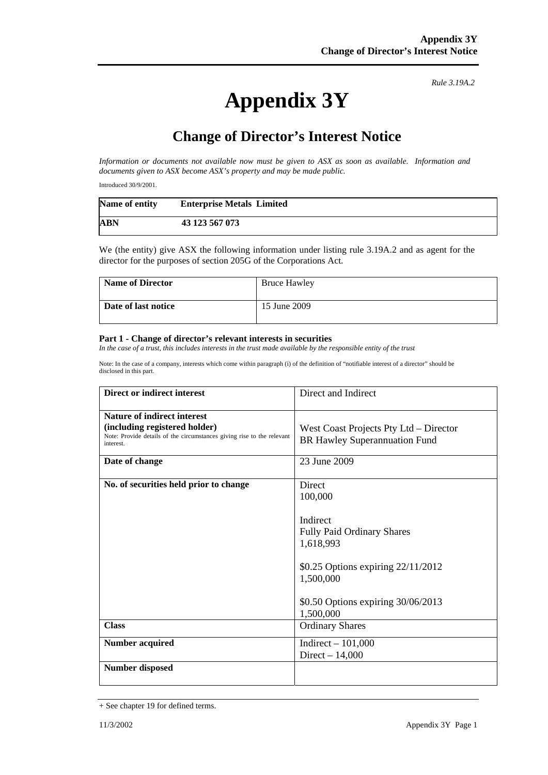## **Appendix 3Y**

*Rule 3.19A.2*

## **Change of Director's Interest Notice**

*Information or documents not available now must be given to ASX as soon as available. Information and documents given to ASX become ASX's property and may be made public.* 

Introduced 30/9/2001.

| Name of entity | <b>Enterprise Metals Limited</b> |
|----------------|----------------------------------|
| ABN            | 43 123 567 073                   |

We (the entity) give ASX the following information under listing rule 3.19A.2 and as agent for the director for the purposes of section 205G of the Corporations Act.

| <b>Name of Director</b> | <b>Bruce Hawley</b> |
|-------------------------|---------------------|
| Date of last notice     | 15 June 2009        |

## **Part 1 - Change of director's relevant interests in securities**

In the case of a trust, this includes interests in the trust made available by the responsible entity of the trust

Note: In the case of a company, interests which come within paragraph (i) of the definition of "notifiable interest of a director" should be disclosed in this part.

| Direct or indirect interest                                                                                                                                | Direct and Indirect                                                                                                                                                                   |
|------------------------------------------------------------------------------------------------------------------------------------------------------------|---------------------------------------------------------------------------------------------------------------------------------------------------------------------------------------|
| <b>Nature of indirect interest</b><br>(including registered holder)<br>Note: Provide details of the circumstances giving rise to the relevant<br>interest. | West Coast Projects Pty Ltd – Director<br>BR Hawley Superannuation Fund                                                                                                               |
| Date of change                                                                                                                                             | 23 June 2009                                                                                                                                                                          |
| No. of securities held prior to change                                                                                                                     | Direct<br>100,000<br>Indirect<br><b>Fully Paid Ordinary Shares</b><br>1,618,993<br>\$0.25 Options expiring 22/11/2012<br>1,500,000<br>\$0.50 Options expiring 30/06/2013<br>1,500,000 |
| <b>Class</b>                                                                                                                                               | <b>Ordinary Shares</b>                                                                                                                                                                |
| <b>Number acquired</b>                                                                                                                                     | Indirect $-101,000$<br>Direct $-14,000$                                                                                                                                               |
| <b>Number disposed</b>                                                                                                                                     |                                                                                                                                                                                       |

<sup>+</sup> See chapter 19 for defined terms.